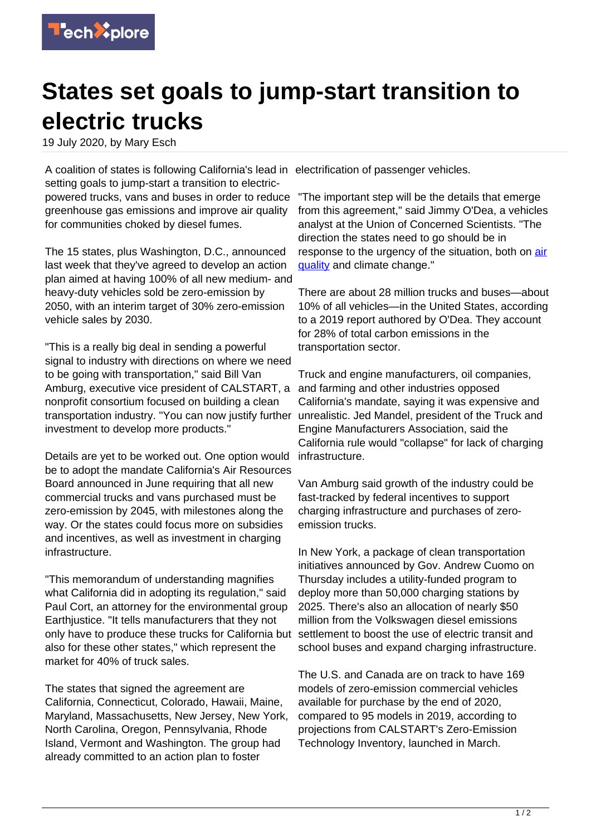

## **States set goals to jump-start transition to electric trucks**

19 July 2020, by Mary Esch

A coalition of states is following California's lead in electrification of passenger vehicles. setting goals to jump-start a transition to electricpowered trucks, vans and buses in order to reduce greenhouse gas emissions and improve air quality for communities choked by diesel fumes.

The 15 states, plus Washington, D.C., announced last week that they've agreed to develop an action plan aimed at having 100% of all new medium- and heavy-duty vehicles sold be zero-emission by 2050, with an interim target of 30% zero-emission vehicle sales by 2030.

"This is a really big deal in sending a powerful signal to industry with directions on where we need to be going with transportation," said Bill Van Amburg, executive vice president of CALSTART, a nonprofit consortium focused on building a clean transportation industry. "You can now justify further unrealistic. Jed Mandel, president of the Truck and investment to develop more products."

Details are yet to be worked out. One option would be to adopt the mandate California's Air Resources Board announced in June requiring that all new commercial trucks and vans purchased must be zero-emission by 2045, with milestones along the way. Or the states could focus more on subsidies and incentives, as well as investment in charging infrastructure.

"This memorandum of understanding magnifies what California did in adopting its regulation," said Paul Cort, an attorney for the environmental group Earthjustice. "It tells manufacturers that they not only have to produce these trucks for California but also for these other states," which represent the market for 40% of truck sales.

The states that signed the agreement are California, Connecticut, Colorado, Hawaii, Maine, Maryland, Massachusetts, New Jersey, New York, North Carolina, Oregon, Pennsylvania, Rhode Island, Vermont and Washington. The group had already committed to an action plan to foster

"The important step will be the details that emerge from this agreement," said Jimmy O'Dea, a vehicles analyst at the Union of Concerned Scientists. "The direction the states need to go should be in response to the urgency of the situation, both on [air](https://techxplore.com/tags/air+quality/) guality and climate change."

There are about 28 million trucks and buses—about 10% of all vehicles—in the United States, according to a 2019 report authored by O'Dea. They account for 28% of total carbon emissions in the transportation sector.

Truck and engine manufacturers, oil companies, and farming and other industries opposed California's mandate, saying it was expensive and Engine Manufacturers Association, said the California rule would "collapse" for lack of charging infrastructure.

Van Amburg said growth of the industry could be fast-tracked by federal incentives to support charging infrastructure and purchases of zeroemission trucks.

In New York, a package of clean transportation initiatives announced by Gov. Andrew Cuomo on Thursday includes a utility-funded program to deploy more than 50,000 charging stations by 2025. There's also an allocation of nearly \$50 million from the Volkswagen diesel emissions settlement to boost the use of electric transit and school buses and expand charging infrastructure.

The U.S. and Canada are on track to have 169 models of zero-emission commercial vehicles available for purchase by the end of 2020, compared to 95 models in 2019, according to projections from CALSTART's Zero-Emission Technology Inventory, launched in March.